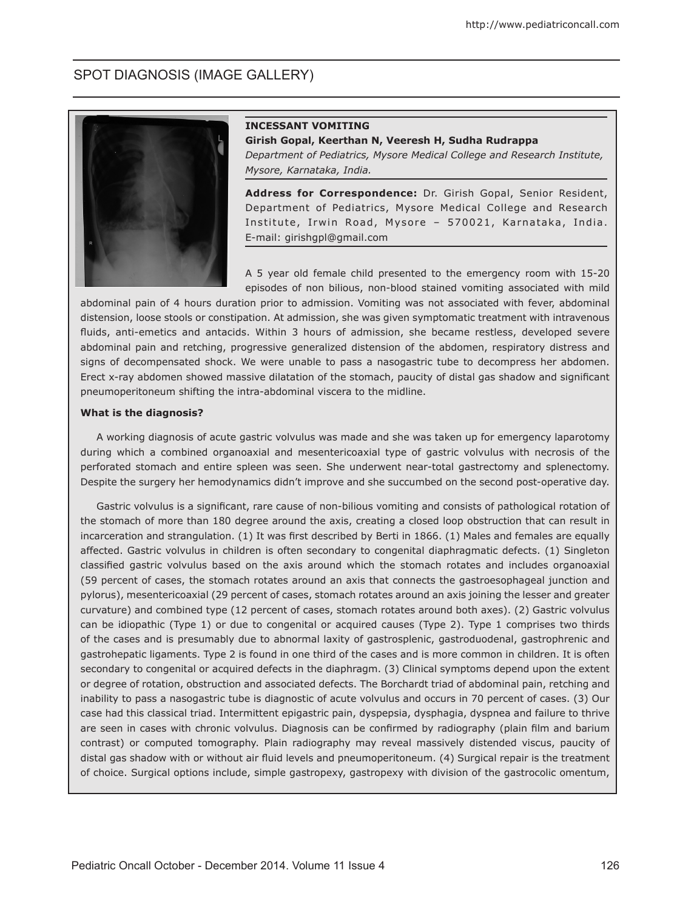# SPOT DIAGNOSIS (IMAGE GALLERY)



#### **INCESSANT VOMITING**

**Girish Gopal, Keerthan N, Veeresh H, Sudha Rudrappa** 

*Department of Pediatrics, Mysore Medical College and Research Institute, Mysore, Karnataka, India.* 

**Address for Correspondence:** Dr. Girish Gopal, Senior Resident, Department of Pediatrics, Mysore Medical College and Research Institute, Irwin Road, Mysore - 570021, Karnataka, India. E-mail: girishgpl@gmail.com

A 5 year old female child presented to the emergency room with 15-20 episodes of non bilious, non-blood stained vomiting associated with mild

abdominal pain of 4 hours duration prior to admission. Vomiting was not associated with fever, abdominal distension, loose stools or constipation. At admission, she was given symptomatic treatment with intravenous fluids, anti-emetics and antacids. Within 3 hours of admission, she became restless, developed severe abdominal pain and retching, progressive generalized distension of the abdomen, respiratory distress and signs of decompensated shock. We were unable to pass a nasogastric tube to decompress her abdomen. Erect x-ray abdomen showed massive dilatation of the stomach, paucity of distal gas shadow and significant pneumoperitoneum shifting the intra-abdominal viscera to the midline.

### **What is the diagnosis?**

A working diagnosis of acute gastric volvulus was made and she was taken up for emergency laparotomy during which a combined organoaxial and mesentericoaxial type of gastric volvulus with necrosis of the perforated stomach and entire spleen was seen. She underwent near-total gastrectomy and splenectomy. Despite the surgery her hemodynamics didn't improve and she succumbed on the second post-operative day.

Gastric volvulus is a significant, rare cause of non-bilious vomiting and consists of pathological rotation of the stomach of more than 180 degree around the axis, creating a closed loop obstruction that can result in incarceration and strangulation. (1) It was first described by Berti in 1866. (1) Males and females are equally affected. Gastric volvulus in children is often secondary to congenital diaphragmatic defects. (1) Singleton classified gastric volvulus based on the axis around which the stomach rotates and includes organoaxial (59 percent of cases, the stomach rotates around an axis that connects the gastroesophageal junction and pylorus), mesentericoaxial (29 percent of cases, stomach rotates around an axis joining the lesser and greater curvature) and combined type (12 percent of cases, stomach rotates around both axes). (2) Gastric volvulus can be idiopathic (Type 1) or due to congenital or acquired causes (Type 2). Type 1 comprises two thirds of the cases and is presumably due to abnormal laxity of gastrosplenic, gastroduodenal, gastrophrenic and gastrohepatic ligaments. Type 2 is found in one third of the cases and is more common in children. It is often secondary to congenital or acquired defects in the diaphragm. (3) Clinical symptoms depend upon the extent or degree of rotation, obstruction and associated defects. The Borchardt triad of abdominal pain, retching and inability to pass a nasogastric tube is diagnostic of acute volvulus and occurs in 70 percent of cases. (3) Our case had this classical triad. Intermittent epigastric pain, dyspepsia, dysphagia, dyspnea and failure to thrive are seen in cases with chronic volvulus. Diagnosis can be confirmed by radiography (plain film and barium contrast) or computed tomography. Plain radiography may reveal massively distended viscus, paucity of distal gas shadow with or without air fluid levels and pneumoperitoneum. (4) Surgical repair is the treatment of choice. Surgical options include, simple gastropexy, gastropexy with division of the gastrocolic omentum,